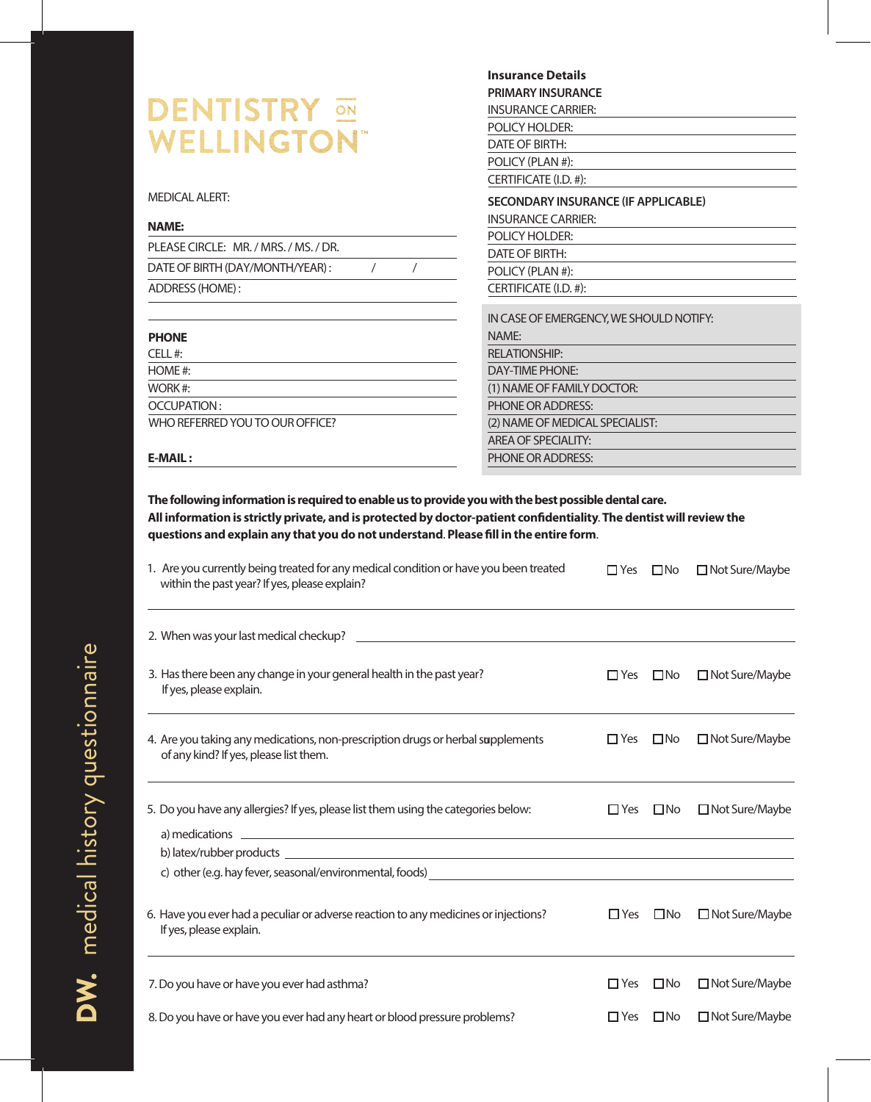|                                       | <b>Insurance Details</b>                   |  |  |  |  |
|---------------------------------------|--------------------------------------------|--|--|--|--|
|                                       | <b>PRIMARY INSURANCE</b>                   |  |  |  |  |
| <b>DENTISTRY</b>                      | <b>INSURANCE CARRIER:</b>                  |  |  |  |  |
|                                       | POLICY HOLDER:                             |  |  |  |  |
| <b>WELLINGTON®</b>                    | DATE OF BIRTH:                             |  |  |  |  |
|                                       | POLICY (PLAN #):                           |  |  |  |  |
|                                       | CERTIFICATE (I.D. #):                      |  |  |  |  |
| <b>MEDICAL ALERT:</b>                 | <b>SECONDARY INSURANCE (IF APPLICABLE)</b> |  |  |  |  |
|                                       | <b>INSURANCE CARRIER:</b>                  |  |  |  |  |
| <b>NAME:</b>                          | POLICY HOLDER:                             |  |  |  |  |
| PLEASE CIRCLE: MR. / MRS. / MS. / DR. | DATE OF BIRTH:                             |  |  |  |  |
| DATE OF BIRTH (DAY/MONTH/YEAR):       | POLICY (PLAN #):                           |  |  |  |  |
| ADDRESS (HOME):                       | CERTIFICATE (I.D. #):                      |  |  |  |  |
|                                       | IN CASE OF EMERGENCY, WE SHOULD NOTIFY:    |  |  |  |  |
| <b>PHONE</b>                          | NAMF:                                      |  |  |  |  |
| CELL#:                                | <b>RELATIONSHIP:</b>                       |  |  |  |  |
| HOME #:                               | DAY-TIME PHONE:                            |  |  |  |  |
| WORK#:                                | (1) NAME OF FAMILY DOCTOR:                 |  |  |  |  |
| OCCUPATION:                           | <b>PHONE OR ADDRESS:</b>                   |  |  |  |  |
| WHO REFERRED YOU TO OUR OFFICE?       | (2) NAME OF MEDICAL SPECIALIST:            |  |  |  |  |
|                                       | AREA OF SPECIALITY:                        |  |  |  |  |

## **E-MAIL :**

**The following information is required to enable us to provide you with the best possible dental care. All information is strictly private, and is protected by doctor-patient condentiality**. **The dentist will review the** questions and explain any that you do not understand. Please fill in the entire form.

PHONE OR ADDRESS:

| 1. Are you currently being treated for any medical condition or have you been treated<br>within the past year? If yes, please explain?                                   | $\Box$ Yes | $\square$ No | □ Not Sure/Maybe |
|--------------------------------------------------------------------------------------------------------------------------------------------------------------------------|------------|--------------|------------------|
|                                                                                                                                                                          |            |              |                  |
| 3. Has there been any change in your general health in the past year?<br>If yes, please explain.                                                                         | $\Box$ Yes | $\square$ No | □ Not Sure/Maybe |
| 4. Are you taking any medications, non-prescription drugs or herbal supplements<br>of any kind? If yes, please list them.                                                | $\Box$ Yes | $\square$ No | □ Not Sure/Maybe |
| 5. Do you have any allergies? If yes, please list them using the categories below:<br><u> 1989 - Andrea Stadt Britain, amerikansk politik (* 1958)</u><br>a) medications | $\Box$ Yes | $\square$ No | □ Not Sure/Maybe |
|                                                                                                                                                                          |            |              |                  |
| 6. Have you ever had a peculiar or adverse reaction to any medicines or injections?<br>If yes, please explain.                                                           | $\Box$ Yes | $\square$ No | □ Not Sure/Maybe |
| 7. Do you have or have you ever had asthma?                                                                                                                              | $\Box$ Yes | $\square$ No | □ Not Sure/Maybe |
| 8. Do you have or have you ever had any heart or blood pressure problems?                                                                                                | $\Box$ Yes | $\square$ No | □ Not Sure/Maybe |